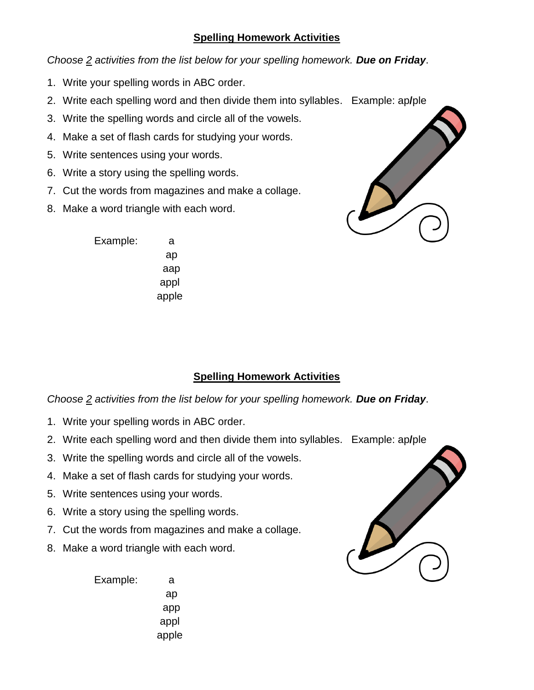## **Spelling Homework Activities**

*Choose 2 activities from the list below for your spelling homework. Due on Friday*.

- 1. Write your spelling words in ABC order.
- 2. Write each spelling word and then divide them into syllables. Example: ap**/**ple
- 3. Write the spelling words and circle all of the vowels.
- 4. Make a set of flash cards for studying your words.
- 5. Write sentences using your words.
- 6. Write a story using the spelling words.
- 7. Cut the words from magazines and make a collage.
- 8. Make a word triangle with each word.



Example: a ap aap appl apple

## **Spelling Homework Activities**

*Choose 2 activities from the list below for your spelling homework. Due on Friday*.

- 1. Write your spelling words in ABC order.
- 2. Write each spelling word and then divide them into syllables. Example: ap**/**ple
- 3. Write the spelling words and circle all of the vowels.
- 4. Make a set of flash cards for studying your words.
- 5. Write sentences using your words.
- 6. Write a story using the spelling words.
- 7. Cut the words from magazines and make a collage.
- 8. Make a word triangle with each word.

Example: a ap app appl apple